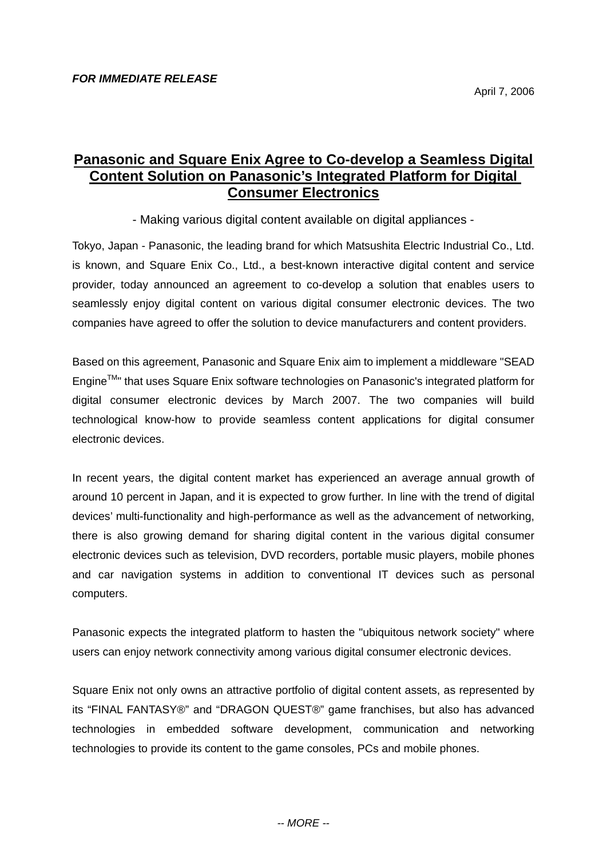## **Panasonic and Square Enix Agree to Co-develop a Seamless Digital Content Solution on Panasonic's Integrated Platform for Digital Consumer Electronics**

- Making various digital content available on digital appliances -

Tokyo, Japan - Panasonic, the leading brand for which Matsushita Electric Industrial Co., Ltd. is known, and Square Enix Co., Ltd., a best-known interactive digital content and service provider, today announced an agreement to co-develop a solution that enables users to seamlessly enjoy digital content on various digital consumer electronic devices. The two companies have agreed to offer the solution to device manufacturers and content providers.

Based on this agreement, Panasonic and Square Enix aim to implement a middleware "SEAD EngineTM" that uses Square Enix software technologies on Panasonic's integrated platform for digital consumer electronic devices by March 2007. The two companies will build technological know-how to provide seamless content applications for digital consumer electronic devices.

In recent years, the digital content market has experienced an average annual growth of around 10 percent in Japan, and it is expected to grow further. In line with the trend of digital devices' multi-functionality and high-performance as well as the advancement of networking, there is also growing demand for sharing digital content in the various digital consumer electronic devices such as television, DVD recorders, portable music players, mobile phones and car navigation systems in addition to conventional IT devices such as personal computers.

Panasonic expects the integrated platform to hasten the "ubiquitous network society" where users can enjoy network connectivity among various digital consumer electronic devices.

Square Enix not only owns an attractive portfolio of digital content assets, as represented by its "FINAL FANTASY®" and "DRAGON QUEST®" game franchises, but also has advanced technologies in embedded software development, communication and networking technologies to provide its content to the game consoles, PCs and mobile phones.